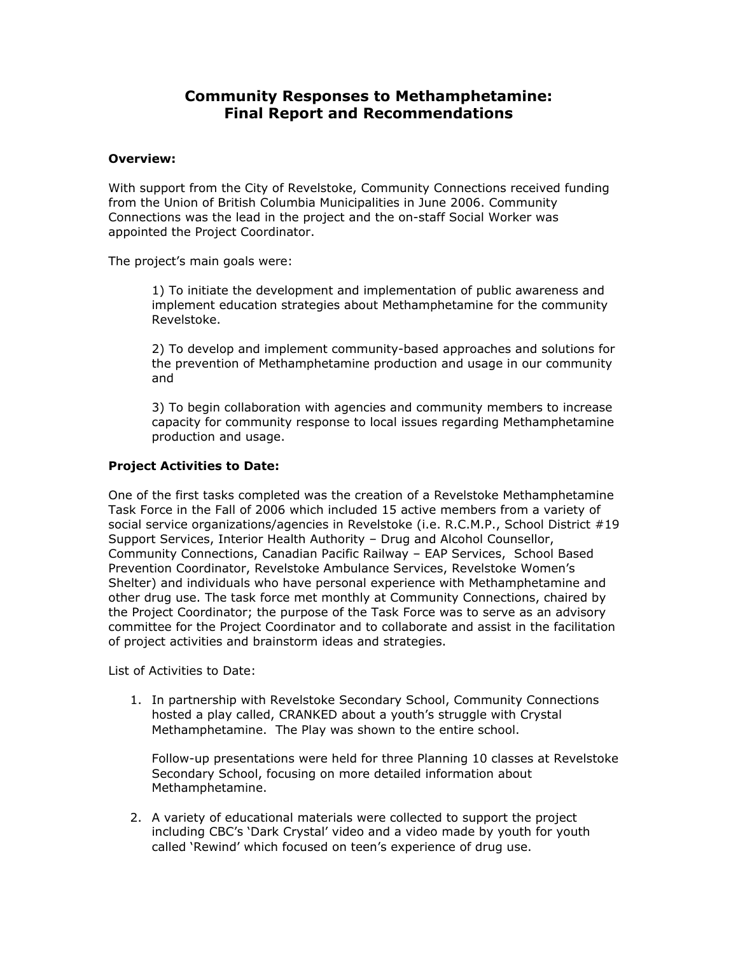# **Community Responses to Methamphetamine: Final Report and Recommendations**

## **Overview:**

With support from the City of Revelstoke, Community Connections received funding from the Union of British Columbia Municipalities in June 2006. Community Connections was the lead in the project and the on-staff Social Worker was appointed the Project Coordinator.

The project's main goals were:

1) To initiate the development and implementation of public awareness and implement education strategies about Methamphetamine for the community Revelstoke.

2) To develop and implement community-based approaches and solutions for the prevention of Methamphetamine production and usage in our community and

3) To begin collaboration with agencies and community members to increase capacity for community response to local issues regarding Methamphetamine production and usage.

## **Project Activities to Date:**

One of the first tasks completed was the creation of a Revelstoke Methamphetamine Task Force in the Fall of 2006 which included 15 active members from a variety of social service organizations/agencies in Revelstoke (i.e. R.C.M.P., School District #19 Support Services, Interior Health Authority – Drug and Alcohol Counsellor, Community Connections, Canadian Pacific Railway – EAP Services, School Based Prevention Coordinator, Revelstoke Ambulance Services, Revelstoke Women's Shelter) and individuals who have personal experience with Methamphetamine and other drug use. The task force met monthly at Community Connections, chaired by the Project Coordinator; the purpose of the Task Force was to serve as an advisory committee for the Project Coordinator and to collaborate and assist in the facilitation of project activities and brainstorm ideas and strategies.

List of Activities to Date:

1. In partnership with Revelstoke Secondary School, Community Connections hosted a play called, CRANKED about a youth's struggle with Crystal Methamphetamine. The Play was shown to the entire school.

Follow-up presentations were held for three Planning 10 classes at Revelstoke Secondary School, focusing on more detailed information about Methamphetamine.

2. A variety of educational materials were collected to support the project including CBC's 'Dark Crystal' video and a video made by youth for youth called 'Rewind' which focused on teen's experience of drug use.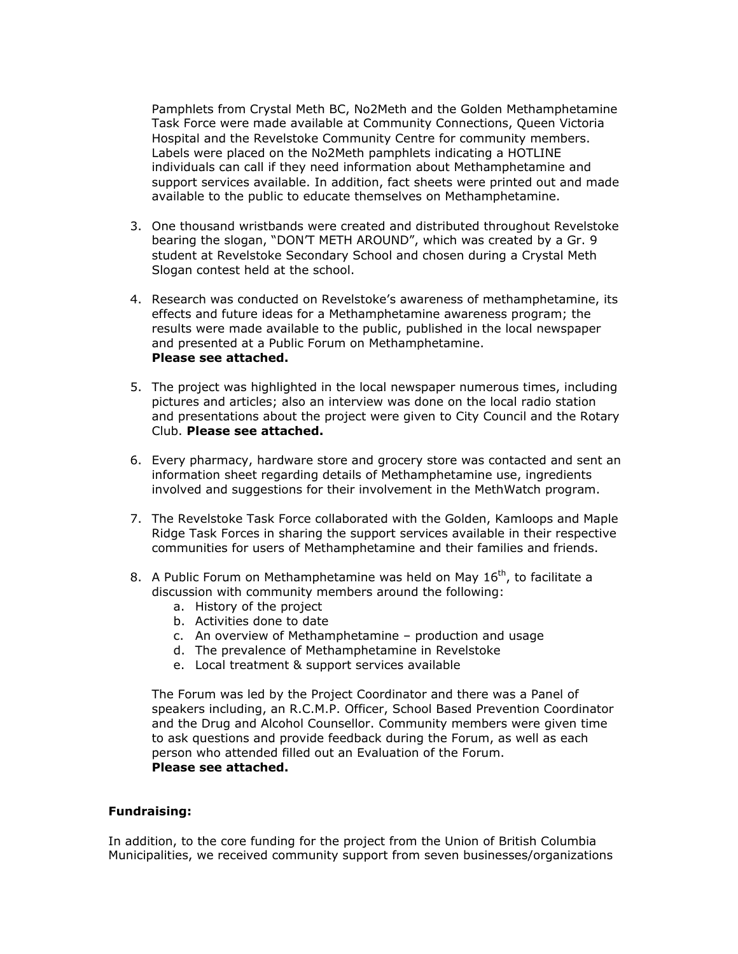Pamphlets from Crystal Meth BC, No2Meth and the Golden Methamphetamine Task Force were made available at Community Connections, Queen Victoria Hospital and the Revelstoke Community Centre for community members. Labels were placed on the No2Meth pamphlets indicating a HOTLINE individuals can call if they need information about Methamphetamine and support services available. In addition, fact sheets were printed out and made available to the public to educate themselves on Methamphetamine.

- 3. One thousand wristbands were created and distributed throughout Revelstoke bearing the slogan, "DON'T METH AROUND", which was created by a Gr. 9 student at Revelstoke Secondary School and chosen during a Crystal Meth Slogan contest held at the school.
- 4. Research was conducted on Revelstoke's awareness of methamphetamine, its effects and future ideas for a Methamphetamine awareness program; the results were made available to the public, published in the local newspaper and presented at a Public Forum on Methamphetamine. **Please see attached.**
- 5. The project was highlighted in the local newspaper numerous times, including pictures and articles; also an interview was done on the local radio station and presentations about the project were given to City Council and the Rotary Club. **Please see attached.**
- 6. Every pharmacy, hardware store and grocery store was contacted and sent an information sheet regarding details of Methamphetamine use, ingredients involved and suggestions for their involvement in the MethWatch program.
- 7. The Revelstoke Task Force collaborated with the Golden, Kamloops and Maple Ridge Task Forces in sharing the support services available in their respective communities for users of Methamphetamine and their families and friends.
- 8. A Public Forum on Methamphetamine was held on May  $16<sup>th</sup>$ , to facilitate a discussion with community members around the following:
	- a. History of the project
	- b. Activities done to date
	- c. An overview of Methamphetamine production and usage
	- d. The prevalence of Methamphetamine in Revelstoke
	- e. Local treatment & support services available

The Forum was led by the Project Coordinator and there was a Panel of speakers including, an R.C.M.P. Officer, School Based Prevention Coordinator and the Drug and Alcohol Counsellor. Community members were given time to ask questions and provide feedback during the Forum, as well as each person who attended filled out an Evaluation of the Forum. **Please see attached.**

## **Fundraising:**

In addition, to the core funding for the project from the Union of British Columbia Municipalities, we received community support from seven businesses/organizations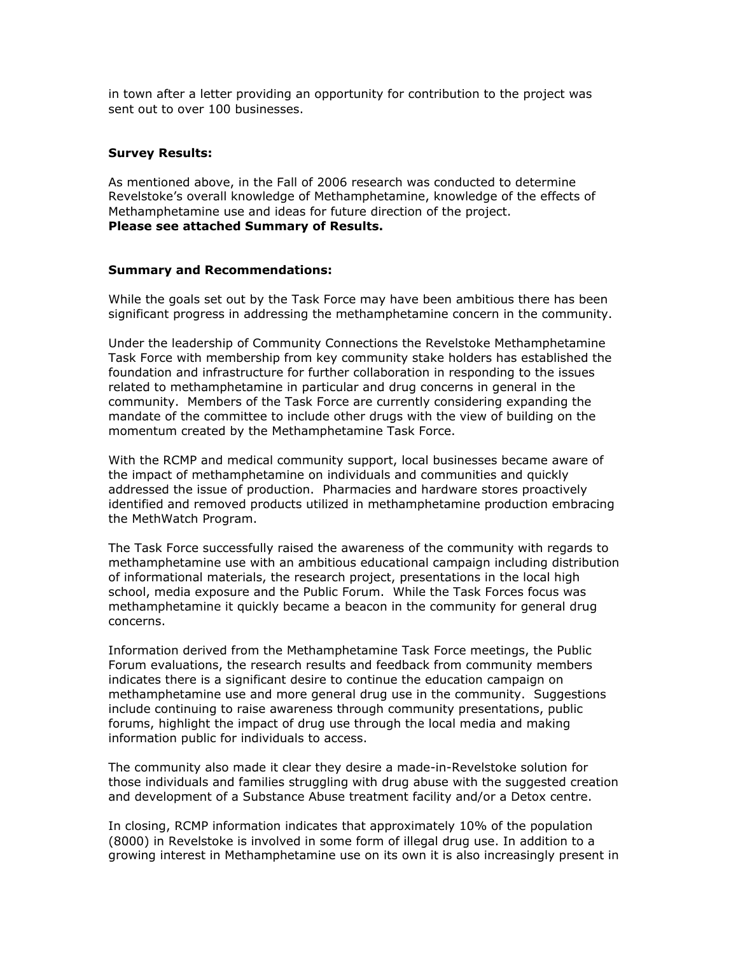in town after a letter providing an opportunity for contribution to the project was sent out to over 100 businesses.

## **Survey Results:**

As mentioned above, in the Fall of 2006 research was conducted to determine Revelstoke's overall knowledge of Methamphetamine, knowledge of the effects of Methamphetamine use and ideas for future direction of the project. **Please see attached Summary of Results.**

### **Summary and Recommendations:**

While the goals set out by the Task Force may have been ambitious there has been significant progress in addressing the methamphetamine concern in the community.

Under the leadership of Community Connections the Revelstoke Methamphetamine Task Force with membership from key community stake holders has established the foundation and infrastructure for further collaboration in responding to the issues related to methamphetamine in particular and drug concerns in general in the community. Members of the Task Force are currently considering expanding the mandate of the committee to include other drugs with the view of building on the momentum created by the Methamphetamine Task Force.

With the RCMP and medical community support, local businesses became aware of the impact of methamphetamine on individuals and communities and quickly addressed the issue of production. Pharmacies and hardware stores proactively identified and removed products utilized in methamphetamine production embracing the MethWatch Program.

The Task Force successfully raised the awareness of the community with regards to methamphetamine use with an ambitious educational campaign including distribution of informational materials, the research project, presentations in the local high school, media exposure and the Public Forum. While the Task Forces focus was methamphetamine it quickly became a beacon in the community for general drug concerns.

Information derived from the Methamphetamine Task Force meetings, the Public Forum evaluations, the research results and feedback from community members indicates there is a significant desire to continue the education campaign on methamphetamine use and more general drug use in the community. Suggestions include continuing to raise awareness through community presentations, public forums, highlight the impact of drug use through the local media and making information public for individuals to access.

The community also made it clear they desire a made-in-Revelstoke solution for those individuals and families struggling with drug abuse with the suggested creation and development of a Substance Abuse treatment facility and/or a Detox centre.

In closing, RCMP information indicates that approximately 10% of the population (8000) in Revelstoke is involved in some form of illegal drug use. In addition to a growing interest in Methamphetamine use on its own it is also increasingly present in